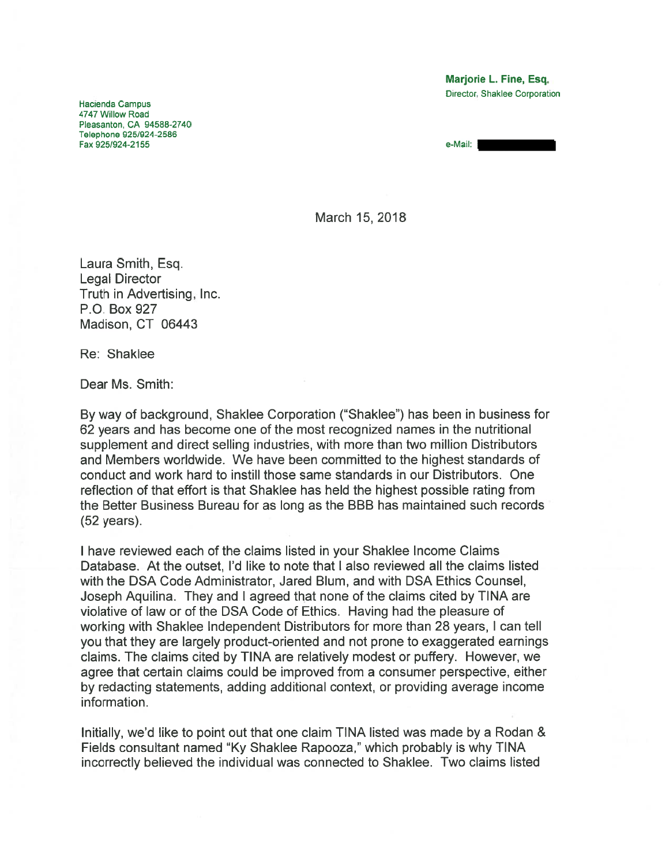Marjorie L. Fine, Esq. Director, Shaklee Corporation

Hacienda Campus 4747 Willow Road Pleasanton, CA 94588-2740 Telephone 925/924-2586 Fax 925/924-2155 e-Mail:

March 15, 2018

Laura Smith, Esq. Legal Director Truth in Advertising, Inc. P.O. Box 927 Madison, CT 06443

Re: Shaklee

Dear Ms. Smith:

By way of background, Shaklee Corporation ('Shaklee") has been in business for 62 years and has become one of the most recognized names in the nutritional supplement and direct selling industries, with more than two million Distributors and Members worldwide. We have been committed to the highest standards of conduct and work hard to instill those same standards in our Distributors. One reflection of that effort is that Shaklee has held the highest possible rating from the Better Business Bureau for as long as the BBB has maintained such records (52 years).

I have reviewed each of the claims listed in your Shaklee Income Claims Database. At the outset, I'd like to note that I also reviewed all the claims listed with the DSA Code Administrator, Jared Blum, and with DSA Ethics Counsel, Joseph Aquilina. They and I agreed that none of the claims cited by TINA are violative of law or of the DSA Code of Ethics. Having had the pleasure of working with Shaklee Independent Distributors for more than 28 years, I can tell you that they are largely product-oriented and not prone to exaggerated earnings claims. The claims cited by TINA are relatively modest or puffery. However, we agree that certain claims could be improved from <sup>a</sup> consumer perspective, either by redacting statements, adding additional context, or providing average income information.

Initially, we'd like to point out that one claim TINA listed was made by <sup>a</sup> Rodan & Fields consultant named 'Ky Shaklee Rapooza," which probably is why TINA incorrectly believed the individual was connected to Shaklee. Two claims listed